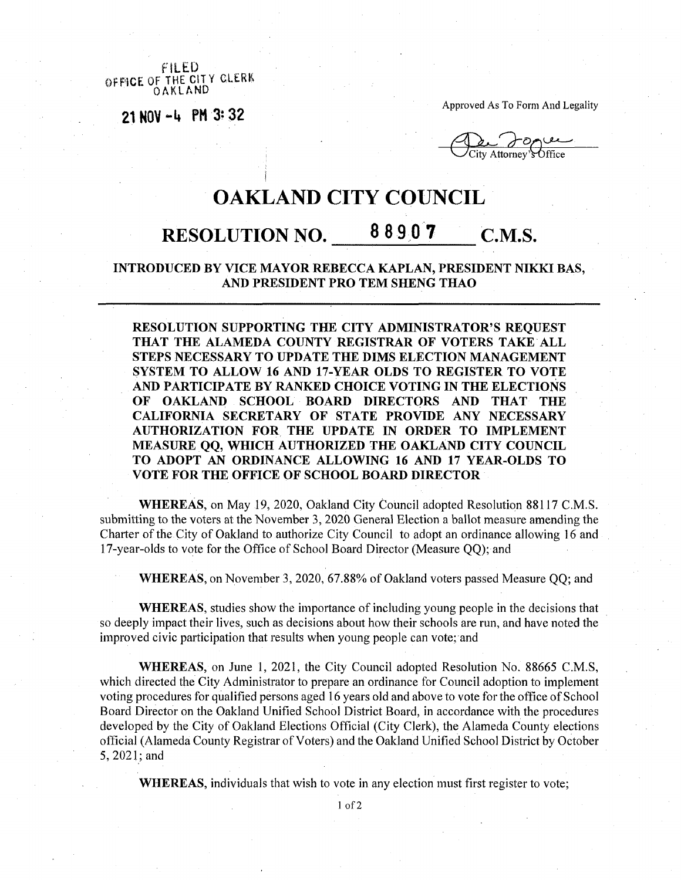FILED **OFFICE OF THE CITY CLERK OAKLAND**

**<sup>21</sup> NOV -4 PH 3? 32**

Approved As To Form And Legality

 $\bigcup$ City Attorney's Office

## OAKLAND CITY COUNCIL

## RESOLUTION NO. 88907 C.M.S.

## **INTRODUCED BY VICE MAYOR REBECCA KAPLAN, PRESIDENT NIKKI BAS, AND PRESIDENT PRO TEM SHENG THAO**

**RESOLUTION SUPPORTING THE CITY ADMINISTRATOR'S REQUEST THAT THE ALAMEDA COUNTY REGISTRAR OF VOTERS TAKE ALL STEPS NECESSARY TO UPDATE THE DIMS ELECTION MANAGEMENT SYSTEM TO ALLOW 16 AND 17-YEAR OLDS TO REGISTER TO VOTE AND PARTICIPATE BY RANKED CHOICE VOTING IN THE ELECTIONS OF OAKLAND SCHOOL BOARD DIRECTORS AND THAT THE CALIFORNIA SECRETARY OF STATE PROVIDE ANY NECESSARY AUTHORIZATION FOR THE UPDATE IN ORDER TO IMPLEMENT MEASURE QQ, WHICH AUTHORIZED THE OAKLAND CITY COUNCIL TO ADOPT AN ORDINANCE ALLOWING 16 AND 17 YEAR-OLDS TO VOTE FOR THE OFFICE OF SCHOOL BOARD DIRECTOR**

**WHEREAS,** on May 19, 2020, Oakland City Council adopted Resolution 88117 C.M.S. submitting to the voters at the November 3, 2020 General Election a ballot measure amending the Charter of the City of Oakland to authorize City Council to adopt an ordinance allowing 16 and 17-year-olds to vote for the Office of School Board Director (Measure QQ); and

**WHEREAS,** on November 3, 2020, 67.88% of Oakland voters passed Measure QQ; and

**WHEREAS,** studies show the importance of including young people in the decisions that so deeply impact their lives, such as decisions about how their schools are run, and have noted the improved civic participation that results when young people can vote; and

**WHEREAS,** on June 1, 2021, the City Council adopted Resolution No. 88665 C.M.S, which directed the City Administrator to prepare an ordinance for Council adoption to implement voting procedures for qualified persons aged 16 years old and above to vote for the office of School Board Director on the Oakland Unified School District Board, in accordance with the procedures developed by the City of Oakland Elections Official (City Clerk), the Alameda County elections official (Alameda County Registrar of Voters) and the Oakland Unified School District by October 5, 2021;and

**WHEREAS,** individuals that wish to vote in any election must first register to vote;